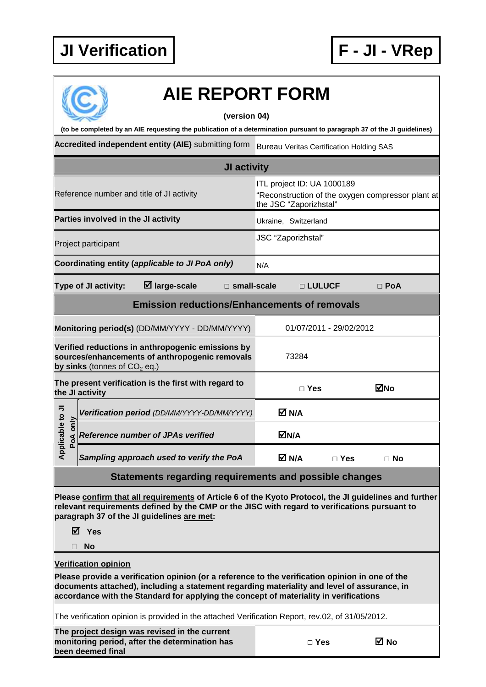## **JI Verification F - JI - VRep**



## **AIE REPORT FORM**

## **(version 04)**

**(to be completed by an AIE requesting the publication of a determination pursuant to paragraph 37 of the JI guidelines)** 

Accredited independent entity (AIE) submitting form Bureau Veritas Certification Holding SAS

|                                 |                                     |                                                                                                        | JI activity        |                                                      |               |                         |                                                   |  |
|---------------------------------|-------------------------------------|--------------------------------------------------------------------------------------------------------|--------------------|------------------------------------------------------|---------------|-------------------------|---------------------------------------------------|--|
|                                 |                                     | Reference number and title of JI activity                                                              |                    | ITL project ID: UA 1000189<br>the JSC "Zaporizhstal" |               |                         | "Reconstruction of the oxygen compressor plant at |  |
|                                 | Parties involved in the JI activity |                                                                                                        |                    | Ukraine, Switzerland                                 |               |                         |                                                   |  |
| Project participant             |                                     |                                                                                                        | JSC "Zaporizhstal" |                                                      |               |                         |                                                   |  |
|                                 |                                     | Coordinating entity (applicable to JI PoA only)                                                        |                    | N/A                                                  |               |                         |                                                   |  |
|                                 | Type of JI activity:                | $\boxtimes$ large-scale                                                                                | □ small-scale      |                                                      | □ LULUCF      |                         | $\Box$ PoA                                        |  |
|                                 |                                     | <b>Emission reductions/Enhancements of removals</b>                                                    |                    |                                                      |               |                         |                                                   |  |
|                                 |                                     | Monitoring period(s) (DD/MM/YYYY - DD/MM/YYYY)                                                         |                    |                                                      |               | 01/07/2011 - 29/02/2012 |                                                   |  |
|                                 | by sinks (tonnes of $CO2$ eq.)      | Verified reductions in anthropogenic emissions by<br>sources/enhancements of anthropogenic removals    |                    | 73284                                                |               |                         |                                                   |  |
|                                 | the JI activity                     | The present verification is the first with regard to                                                   |                    |                                                      | $\square$ Yes |                         | ⊠No                                               |  |
|                                 |                                     | Verification period (DD/MM/YYYY-DD/MM/YYYY)                                                            |                    | M N/A                                                |               |                         |                                                   |  |
| Applicable to JI<br>only<br>PoA |                                     | <b>Reference number of JPAs verified</b>                                                               |                    | MN/A                                                 |               |                         |                                                   |  |
|                                 |                                     | Sampling approach used to verify the PoA                                                               |                    | M N/A                                                |               | $\Box$ Yes              | $\Box$ No                                         |  |
|                                 |                                     | Statements regarding requirements and possible changes                                                 |                    |                                                      |               |                         |                                                   |  |
|                                 |                                     | Please confirm that all requirements of Article 6 of the Kyoto Protocol, the JI guidelines and further |                    |                                                      |               |                         |                                                   |  |

**relevant requirements defined by the CMP or the JISC with regard to verifications pursuant to paragraph 37 of the JI guidelines are met:** 

**Yes** 

**No** 

## **Verification opinion**

**Please provide a verification opinion (or a reference to the verification opinion in one of the documents attached), including a statement regarding materiality and level of assurance, in accordance with the Standard for applying the concept of materiality in verifications** 

The verification opinion is provided in the attached Verification Report, rev.02, of 31/05/2012.

**The project design was revised in the current monitoring period, after the determination has been deemed final** 

| $\Box$ Yes | ⊠ No |
|------------|------|
|------------|------|

| ×<br>۰. |
|---------|
|         |